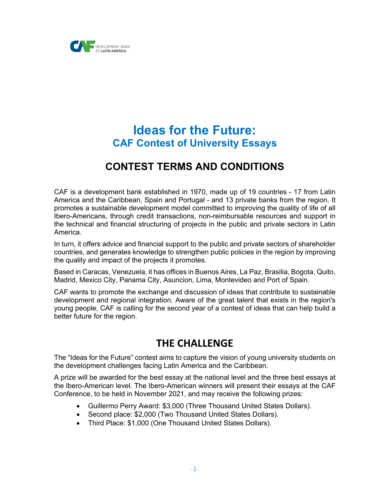

# **Ideas for the Future: CAF Contest of University Essays**

# **CONTEST TERMS AND CONDITIONS**

CAF is a development bank established in 1970, made up of 19 countries - 17 from Latin America and the Caribbean, Spain and Portugal - and 13 private banks from the region. It promotes a sustainable development model committed to improving the quality of life of all Ibero-Americans, through credit transactions, non-reimbursable resources and support in the technical and financial structuring of projects in the public and private sectors in Latin America.

In turn, it offers advice and financial support to the public and private sectors of shareholder countries, and generates knowledge to strengthen public policies in the region by improving the quality and impact of the projects it promotes.

Based in Caracas, Venezuela, it has offices in Buenos Aires, La Paz, Brasilia, Bogota, Quito, Madrid, Mexico City, Panama City, Asuncion, Lima, Montevideo and Port of Spain.

CAF wants to promote the exchange and discussion of ideas that contribute to sustainable development and regional integration. Aware of the great talent that exists in the region's young people, CAF is calling for the second year of a contest of ideas that can help build a better future for the region.

## **THE CHALLENGE**

The "Ideas for the Future" contest aims to capture the vision of young university students on the development challenges facing Latin America and the Caribbean.

A prize will be awarded for the best essay at the national level and the three best essays at the Ibero-American level. The Ibero-American winners will present their essays at the CAF Conference, to be held in November 2021, and may receive the following prizes:

- Guillermo Perry Award: \$3,000 (Three Thousand United States Dollars).
- Second place: \$2,000 (Two Thousand United States Dollars).
- Third Place: \$1,000 (One Thousand United States Dollars).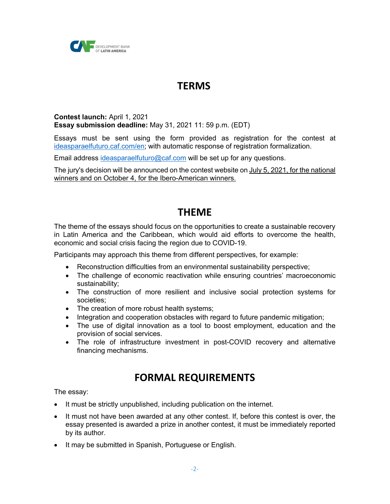

## **TERMS**

#### **Contest launch:** April 1, 2021 **Essay submission deadline:** May 31, 2021 11: 59 p.m. (EDT)

Essays must be sent using the form provided as registration for the contest at ideasparaelfuturo.caf.com/en; with automatic response of registration formalization.

Email address ideasparaelfuturo@caf.com will be set up for any questions.

The jury's decision will be announced on the contest website on July 5, 2021, for the national winners and on October 4, for the Ibero-American winners.

## **THEME**

The theme of the essays should focus on the opportunities to create a sustainable recovery in Latin America and the Caribbean, which would aid efforts to overcome the health, economic and social crisis facing the region due to COVID-19.

Participants may approach this theme from different perspectives, for example:

- Reconstruction difficulties from an environmental sustainability perspective;
- The challenge of economic reactivation while ensuring countries' macroeconomic sustainability;
- The construction of more resilient and inclusive social protection systems for societies;
- The creation of more robust health systems;
- Integration and cooperation obstacles with regard to future pandemic mitigation;
- The use of digital innovation as a tool to boost employment, education and the provision of social services.
- The role of infrastructure investment in post-COVID recovery and alternative financing mechanisms.

# **FORMAL REQUIREMENTS**

The essay:

- It must be strictly unpublished, including publication on the internet.
- It must not have been awarded at any other contest. If, before this contest is over, the essay presented is awarded a prize in another contest, it must be immediately reported by its author.
- It may be submitted in Spanish, Portuguese or English.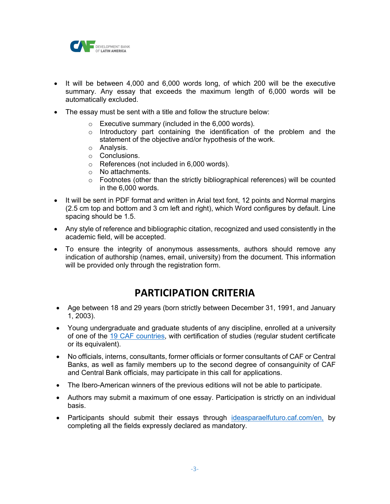

- It will be between 4,000 and 6,000 words long, of which 200 will be the executive summary. Any essay that exceeds the maximum length of 6,000 words will be automatically excluded.
- The essay must be sent with a title and follow the structure below:
	- o Executive summary (included in the 6,000 words).
	- $\circ$  Introductory part containing the identification of the problem and the statement of the objective and/or hypothesis of the work.
	- o Analysis.
	- o Conclusions.
	- o References (not included in 6,000 words).
	- o No attachments.
	- $\circ$  Footnotes (other than the strictly bibliographical references) will be counted in the 6,000 words.
- It will be sent in PDF format and written in Arial text font, 12 points and Normal margins (2.5 cm top and bottom and 3 cm left and right), which Word configures by default. Line spacing should be 1.5.
- Any style of reference and bibliographic citation, recognized and used consistently in the academic field, will be accepted.
- To ensure the integrity of anonymous assessments, authors should remove any indication of authorship (names, email, university) from the document. This information will be provided only through the registration form.

## **PARTICIPATION CRITERIA**

- Age between 18 and 29 years (born strictly between December 31, 1991, and January 1, 2003).
- Young undergraduate and graduate students of any discipline, enrolled at a university of one of the 19 CAF countries, with certification of studies (regular student certificate or its equivalent).
- No officials, interns, consultants, former officials or former consultants of CAF or Central Banks, as well as family members up to the second degree of consanguinity of CAF and Central Bank officials, may participate in this call for applications.
- The Ibero-American winners of the previous editions will not be able to participate.
- Authors may submit a maximum of one essay. Participation is strictly on an individual basis.
- Participants should submit their essays through ideasparaelfuturo.caf.com/en, by completing all the fields expressly declared as mandatory.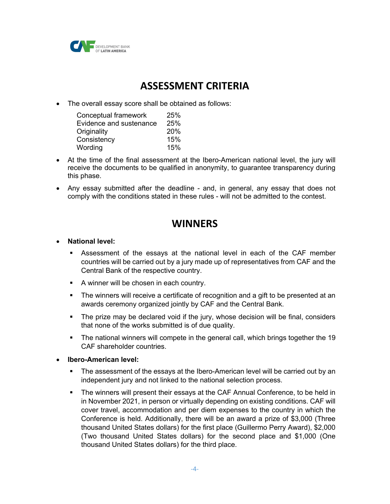

# **ASSESSMENT CRITERIA**

• The overall essay score shall be obtained as follows:

| Conceptual framework    | 25%        |
|-------------------------|------------|
| Evidence and sustenance | 25%        |
| Originality             | <b>20%</b> |
| Consistency             | 15%        |
| Wording                 | 15%        |

- At the time of the final assessment at the Ibero-American national level, the jury will receive the documents to be qualified in anonymity, to guarantee transparency during this phase.
- Any essay submitted after the deadline and, in general, any essay that does not comply with the conditions stated in these rules - will not be admitted to the contest.

# **WINNERS**

- **National level:** 
	- § Assessment of the essays at the national level in each of the CAF member countries will be carried out by a jury made up of representatives from CAF and the Central Bank of the respective country.
	- A winner will be chosen in each country.
	- The winners will receive a certificate of recognition and a gift to be presented at an awards ceremony organized jointly by CAF and the Central Bank.
	- The prize may be declared void if the jury, whose decision will be final, considers that none of the works submitted is of due quality.
	- The national winners will compete in the general call, which brings together the 19 CAF shareholder countries.
- **Ibero-American level:**
	- The assessment of the essays at the Ibero-American level will be carried out by an independent jury and not linked to the national selection process.
	- The winners will present their essays at the CAF Annual Conference, to be held in in November 2021, in person or virtually depending on existing conditions. CAF will cover travel, accommodation and per diem expenses to the country in which the Conference is held. Additionally, there will be an award a prize of \$3,000 (Three thousand United States dollars) for the first place (Guillermo Perry Award), \$2,000 (Two thousand United States dollars) for the second place and \$1,000 (One thousand United States dollars) for the third place.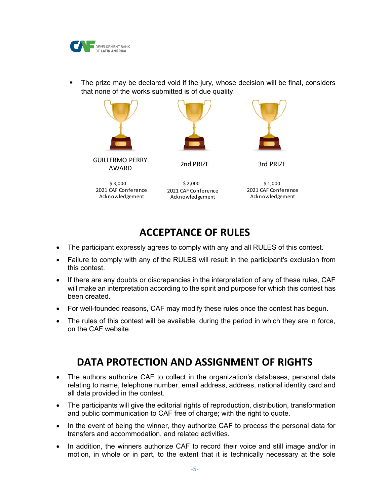

• The prize may be declared void if the jury, whose decision will be final, considers that none of the works submitted is of due quality.



GUILLERMO PERRY AWARD



2nd PRIZE 3rd PRIZE

2021 CAF Conference Acknowledgement



2021 CAF Conference Acknowledgement

# **ACCEPTANCE OF RULES**

- The participant expressly agrees to comply with any and all RULES of this contest.
- Failure to comply with any of the RULES will result in the participant's exclusion from this contest.
- If there are any doubts or discrepancies in the interpretation of any of these rules, CAF will make an interpretation according to the spirit and purpose for which this contest has been created.
- For well-founded reasons, CAF may modify these rules once the contest has begun.
- The rules of this contest will be available, during the period in which they are in force, on the CAF website.

## **DATA PROTECTION AND ASSIGNMENT OF RIGHTS**

- The authors authorize CAF to collect in the organization's databases, personal data relating to name, telephone number, email address, address, national identity card and all data provided in the contest.
- The participants will give the editorial rights of reproduction, distribution, transformation and public communication to CAF free of charge; with the right to quote.
- In the event of being the winner, they authorize CAF to process the personal data for transfers and accommodation, and related activities.
- In addition, the winners authorize CAF to record their voice and still image and/or in motion, in whole or in part, to the extent that it is technically necessary at the sole